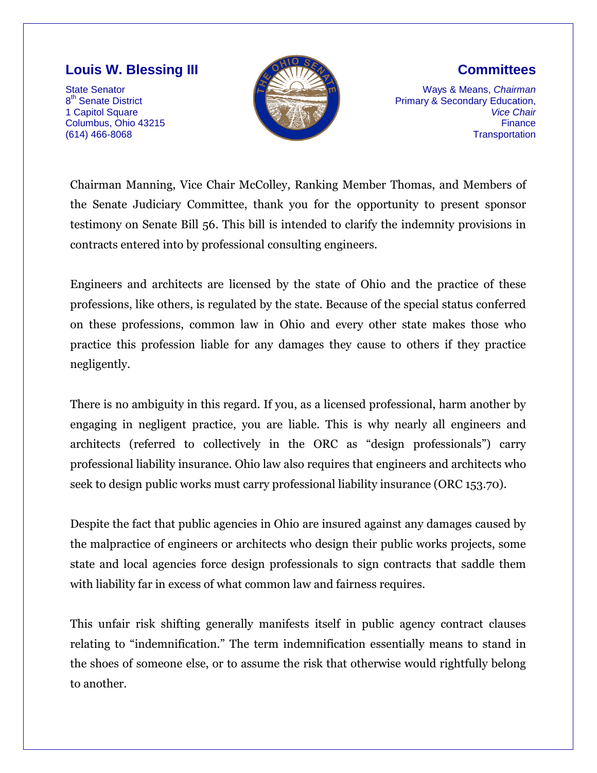## **Louis W. Blessing III**

State Senator 8<sup>th</sup> Senate District 1 Capitol Square Columbus, Ohio 43215 (614) 466-8068



## **Committees**

Ways & Means, *Chairman* Primary & Secondary Education, *Vice Chair* **Finance Transportation** 

Chairman Manning, Vice Chair McColley, Ranking Member Thomas, and Members of the Senate Judiciary Committee, thank you for the opportunity to present sponsor testimony on Senate Bill 56. This bill is intended to clarify the indemnity provisions in contracts entered into by professional consulting engineers.

Engineers and architects are licensed by the state of Ohio and the practice of these professions, like others, is regulated by the state. Because of the special status conferred on these professions, common law in Ohio and every other state makes those who practice this profession liable for any damages they cause to others if they practice negligently.

There is no ambiguity in this regard. If you, as a licensed professional, harm another by engaging in negligent practice, you are liable. This is why nearly all engineers and architects (referred to collectively in the ORC as "design professionals") carry professional liability insurance. Ohio law also requires that engineers and architects who seek to design public works must carry professional liability insurance (ORC 153.70).

Despite the fact that public agencies in Ohio are insured against any damages caused by the malpractice of engineers or architects who design their public works projects, some state and local agencies force design professionals to sign contracts that saddle them with liability far in excess of what common law and fairness requires.

This unfair risk shifting generally manifests itself in public agency contract clauses relating to "indemnification." The term indemnification essentially means to stand in the shoes of someone else, or to assume the risk that otherwise would rightfully belong to another.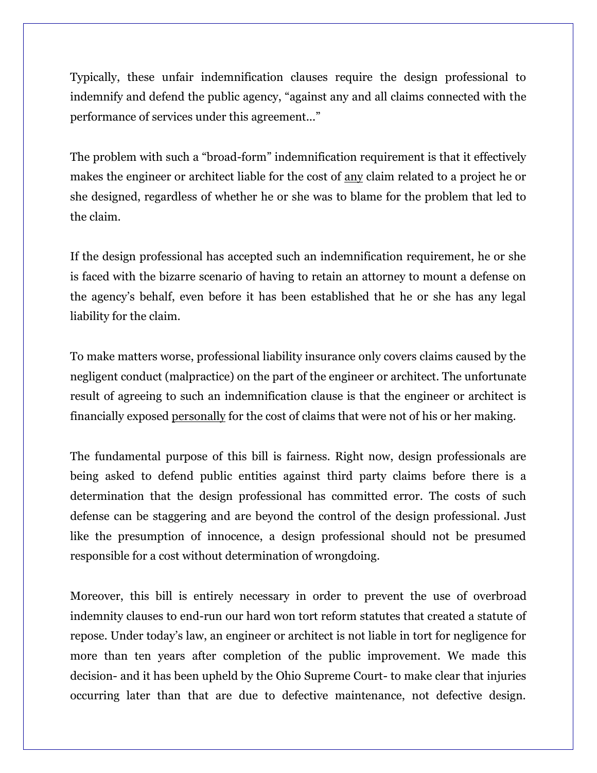Typically, these unfair indemnification clauses require the design professional to indemnify and defend the public agency, "against any and all claims connected with the performance of services under this agreement..."

The problem with such a "broad-form" indemnification requirement is that it effectively makes the engineer or architect liable for the cost of <u>any</u> claim related to a project he or she designed, regardless of whether he or she was to blame for the problem that led to the claim.

If the design professional has accepted such an indemnification requirement, he or she is faced with the bizarre scenario of having to retain an attorney to mount a defense on the agency's behalf, even before it has been established that he or she has any legal liability for the claim.

To make matters worse, professional liability insurance only covers claims caused by the negligent conduct (malpractice) on the part of the engineer or architect. The unfortunate result of agreeing to such an indemnification clause is that the engineer or architect is financially exposed personally for the cost of claims that were not of his or her making.

The fundamental purpose of this bill is fairness. Right now, design professionals are being asked to defend public entities against third party claims before there is a determination that the design professional has committed error. The costs of such defense can be staggering and are beyond the control of the design professional. Just like the presumption of innocence, a design professional should not be presumed responsible for a cost without determination of wrongdoing.

Moreover, this bill is entirely necessary in order to prevent the use of overbroad indemnity clauses to end-run our hard won tort reform statutes that created a statute of repose. Under today's law, an engineer or architect is not liable in tort for negligence for more than ten years after completion of the public improvement. We made this decision- and it has been upheld by the Ohio Supreme Court- to make clear that injuries occurring later than that are due to defective maintenance, not defective design.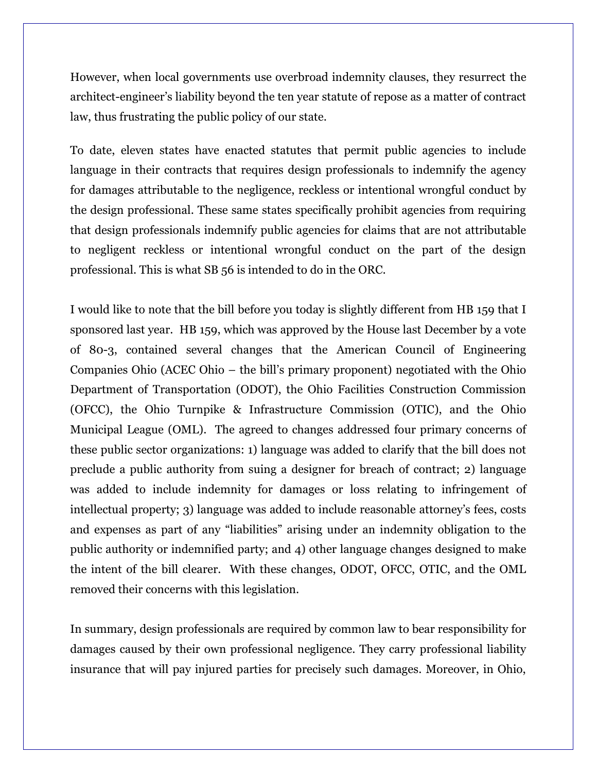However, when local governments use overbroad indemnity clauses, they resurrect the architect-engineer's liability beyond the ten year statute of repose as a matter of contract law, thus frustrating the public policy of our state.

To date, eleven states have enacted statutes that permit public agencies to include language in their contracts that requires design professionals to indemnify the agency for damages attributable to the negligence, reckless or intentional wrongful conduct by the design professional. These same states specifically prohibit agencies from requiring that design professionals indemnify public agencies for claims that are not attributable to negligent reckless or intentional wrongful conduct on the part of the design professional. This is what SB 56 is intended to do in the ORC.

I would like to note that the bill before you today is slightly different from HB 159 that I sponsored last year. HB 159, which was approved by the House last December by a vote of 80-3, contained several changes that the American Council of Engineering Companies Ohio (ACEC Ohio – the bill's primary proponent) negotiated with the Ohio Department of Transportation (ODOT), the Ohio Facilities Construction Commission (OFCC), the Ohio Turnpike & Infrastructure Commission (OTIC), and the Ohio Municipal League (OML). The agreed to changes addressed four primary concerns of these public sector organizations: 1) language was added to clarify that the bill does not preclude a public authority from suing a designer for breach of contract; 2) language was added to include indemnity for damages or loss relating to infringement of intellectual property; 3) language was added to include reasonable attorney's fees, costs and expenses as part of any "liabilities" arising under an indemnity obligation to the public authority or indemnified party; and 4) other language changes designed to make the intent of the bill clearer. With these changes, ODOT, OFCC, OTIC, and the OML removed their concerns with this legislation.

In summary, design professionals are required by common law to bear responsibility for damages caused by their own professional negligence. They carry professional liability insurance that will pay injured parties for precisely such damages. Moreover, in Ohio,